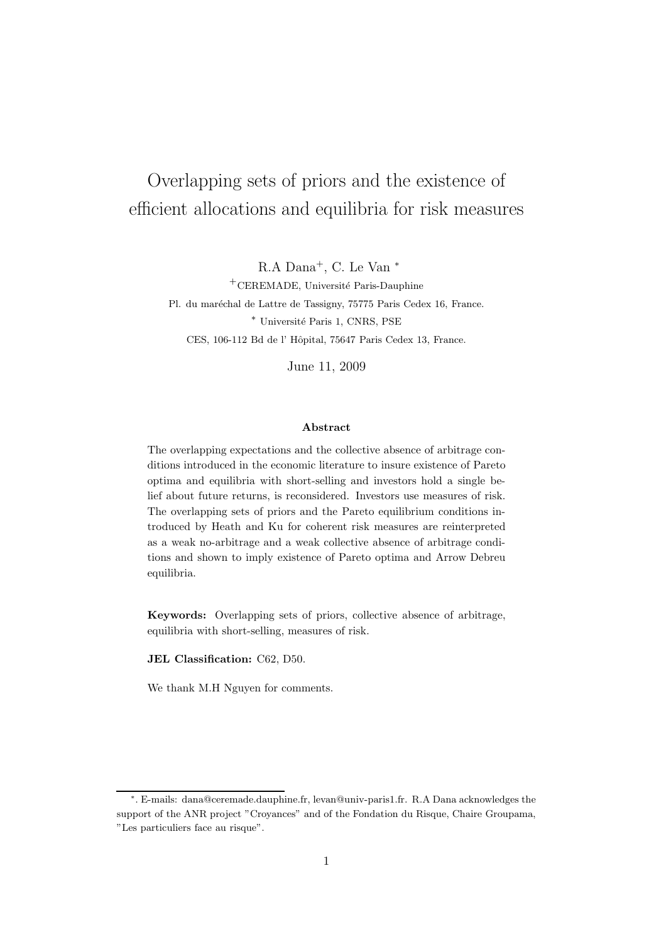# Overlapping sets of priors and the existence of efficient allocations and equilibria for risk measures

R.A Dana<sup>+</sup>, C. Le Van<sup>\*</sup>

 $+$ CEREMADE, Université Paris-Dauphine Pl. du maréchal de Lattre de Tassigny, 75775 Paris Cedex 16, France. <sup>∗</sup> Universit´e Paris 1, CNRS, PSE CES, 106-112 Bd de l' Hôpital, 75647 Paris Cedex 13, France.

June 11, 2009

#### Abstract

The overlapping expectations and the collective absence of arbitrage conditions introduced in the economic literature to insure existence of Pareto optima and equilibria with short-selling and investors hold a single belief about future returns, is reconsidered. Investors use measures of risk. The overlapping sets of priors and the Pareto equilibrium conditions introduced by Heath and Ku for coherent risk measures are reinterpreted as a weak no-arbitrage and a weak collective absence of arbitrage conditions and shown to imply existence of Pareto optima and Arrow Debreu equilibria.

Keywords: Overlapping sets of priors, collective absence of arbitrage, equilibria with short-selling, measures of risk.

JEL Classification: C62, D50.

We thank M.H Nguyen for comments.

<sup>∗</sup> . E-mails: dana@ceremade.dauphine.fr, levan@univ-paris1.fr. R.A Dana acknowledges the support of the ANR project "Croyances" and of the Fondation du Risque, Chaire Groupama, "Les particuliers face au risque".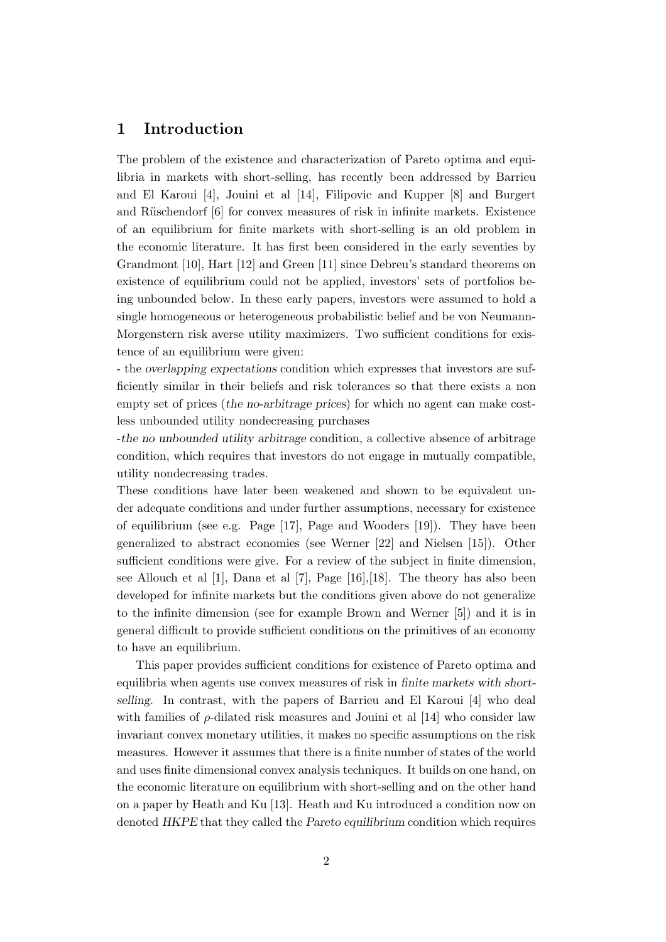# 1 Introduction

The problem of the existence and characterization of Pareto optima and equilibria in markets with short-selling, has recently been addressed by Barrieu and El Karoui [4], Jouini et al [14], Filipovic and Kupper [8] and Burgert and Rüschendorf [6] for convex measures of risk in infinite markets. Existence of an equilibrium for finite markets with short-selling is an old problem in the economic literature. It has first been considered in the early seventies by Grandmont [10], Hart [12] and Green [11] since Debreu's standard theorems on existence of equilibrium could not be applied, investors' sets of portfolios being unbounded below. In these early papers, investors were assumed to hold a single homogeneous or heterogeneous probabilistic belief and be von Neumann-Morgenstern risk averse utility maximizers. Two sufficient conditions for existence of an equilibrium were given:

- the *overlapping expectations* condition which expresses that investors are sufficiently similar in their beliefs and risk tolerances so that there exists a non empty set of prices (*the no-arbitrage prices*) for which no agent can make costless unbounded utility nondecreasing purchases

-*the no unbounded utility arbitrage* condition, a collective absence of arbitrage condition, which requires that investors do not engage in mutually compatible, utility nondecreasing trades.

These conditions have later been weakened and shown to be equivalent under adequate conditions and under further assumptions, necessary for existence of equilibrium (see e.g. Page [17], Page and Wooders [19]). They have been generalized to abstract economies (see Werner [22] and Nielsen [15]). Other sufficient conditions were give. For a review of the subject in finite dimension, see Allouch et al [1], Dana et al [7], Page [16],[18]. The theory has also been developed for infinite markets but the conditions given above do not generalize to the infinite dimension (see for example Brown and Werner [5]) and it is in general difficult to provide sufficient conditions on the primitives of an economy to have an equilibrium.

This paper provides sufficient conditions for existence of Pareto optima and equilibria when agents use convex measures of risk in *finite markets with shortselling*. In contrast, with the papers of Barrieu and El Karoui [4] who deal with families of  $\rho$ -dilated risk measures and Jouini et al [14] who consider law invariant convex monetary utilities, it makes no specific assumptions on the risk measures. However it assumes that there is a finite number of states of the world and uses finite dimensional convex analysis techniques. It builds on one hand, on the economic literature on equilibrium with short-selling and on the other hand on a paper by Heath and Ku [13]. Heath and Ku introduced a condition now on denoted *HKPE* that they called the *Pareto equilibrium* condition which requires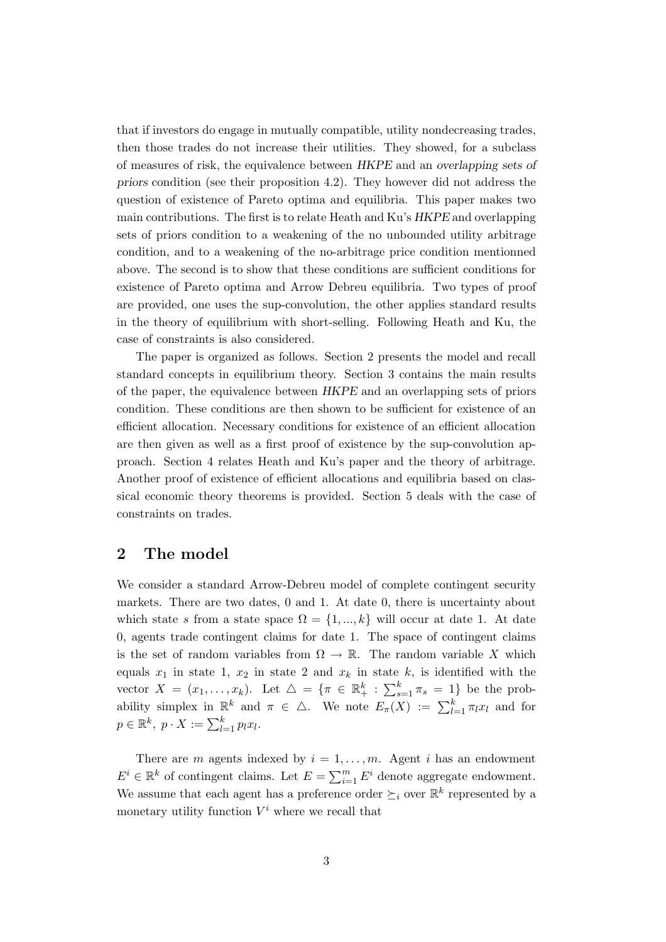that if investors do engage in mutually compatible, utility nondecreasing trades, then those trades do not increase their utilities. They showed, for a subclass of measures of risk, the equivalence between *HKPE* and an *overlapping sets of priors* condition (see their proposition 4.2). They however did not address the question of existence of Pareto optima and equilibria. This paper makes two main contributions. The first is to relate Heath and Ku's *HKPE* and overlapping sets of priors condition to a weakening of the no unbounded utility arbitrage condition, and to a weakening of the no-arbitrage price condition mentionned above. The second is to show that these conditions are sufficient conditions for existence of Pareto optima and Arrow Debreu equilibria. Two types of proof are provided, one uses the sup-convolution, the other applies standard results in the theory of equilibrium with short-selling. Following Heath and Ku, the case of constraints is also considered.

The paper is organized as follows. Section 2 presents the model and recall standard concepts in equilibrium theory. Section 3 contains the main results of the paper, the equivalence between *HKPE* and an overlapping sets of priors condition. These conditions are then shown to be sufficient for existence of an efficient allocation. Necessary conditions for existence of an efficient allocation are then given as well as a first proof of existence by the sup-convolution approach. Section 4 relates Heath and Ku's paper and the theory of arbitrage. Another proof of existence of efficient allocations and equilibria based on classical economic theory theorems is provided. Section 5 deals with the case of constraints on trades.

## 2 The model

We consider a standard Arrow-Debreu model of complete contingent security markets. There are two dates, 0 and 1. At date 0, there is uncertainty about which state s from a state space  $\Omega = \{1, ..., k\}$  will occur at date 1. At date 0, agents trade contingent claims for date 1. The space of contingent claims is the set of random variables from  $\Omega \to \mathbb{R}$ . The random variable X which equals  $x_1$  in state 1,  $x_2$  in state 2 and  $x_k$  in state k, is identified with the vector  $X = (x_1, \ldots, x_k)$ . Let  $\Delta = \{ \pi \in \mathbb{R}^k_+ : \sum_{s=1}^k \pi_s = 1 \}$  be the probability simplex in  $\mathbb{R}^k$  and  $\pi \in \Delta$ . We note  $E_{\pi}(X) := \sum_{l=1}^k \pi_l x_l$  and for  $p \in \mathbb{R}^k$ ,  $p \cdot X := \sum_{l=1}^k p_l x_l$ .

There are m agents indexed by  $i = 1, \ldots, m$ . Agent i has an endowment  $E^i \in \mathbb{R}^k$  of contingent claims. Let  $E = \sum_{i=1}^m E^i$  denote aggregate endowment. We assume that each agent has a preference order  $\succeq_i$  over  $\mathbb{R}^k$  represented by a monetary utility function  $V^i$  where we recall that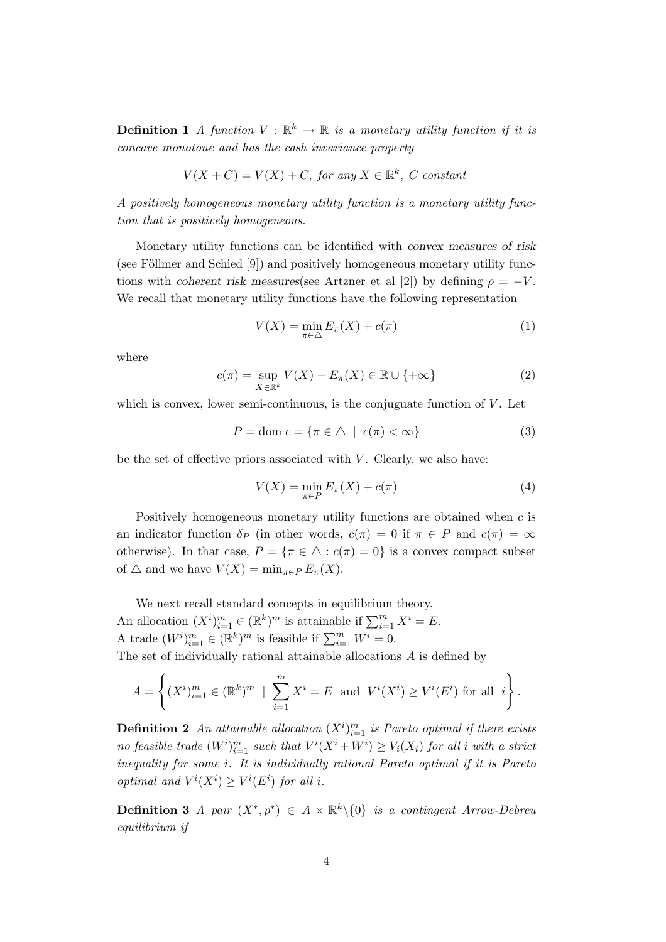**Definition 1** A function  $V : \mathbb{R}^k \to \mathbb{R}$  is a monetary utility function if it is concave monotone and has the cash invariance property

$$
V(X+C) = V(X) + C, \text{ for any } X \in \mathbb{R}^k, C \text{ constant}
$$

A positively homogeneous monetary utility function is a monetary utility function that is positively homogeneous.

Monetary utility functions can be identified with *convex measures of risk* (see Föllmer and Schied  $[9]$ ) and positively homogeneous monetary utility functions with *coherent risk measures*(see Artzner et al [2]) by defining  $\rho = -V$ . We recall that monetary utility functions have the following representation

$$
V(X) = \min_{\pi \in \triangle} E_{\pi}(X) + c(\pi)
$$
\n(1)

where

$$
c(\pi) = \sup_{X \in \mathbb{R}^k} V(X) - E_{\pi}(X) \in \mathbb{R} \cup \{ +\infty \}
$$
 (2)

which is convex, lower semi-continuous, is the conjuguate function of  $V$ . Let

$$
P = \text{dom } c = \{ \pi \in \triangle \mid c(\pi) < \infty \} \tag{3}
$$

be the set of effective priors associated with  $V$ . Clearly, we also have:

$$
V(X) = \min_{\pi \in P} E_{\pi}(X) + c(\pi)
$$
\n<sup>(4)</sup>

Positively homogeneous monetary utility functions are obtained when c is an indicator function  $\delta_P$  (in other words,  $c(\pi) = 0$  if  $\pi \in P$  and  $c(\pi) = \infty$ otherwise). In that case,  $P = {\pi \in \triangle : c(\pi) = 0}$  is a convex compact subset of  $\triangle$  and we have  $V(X) = \min_{\pi \in P} E_{\pi}(X)$ .

We next recall standard concepts in equilibrium theory. An allocation  $(X^i)_{i=1}^m \in (\mathbb{R}^k)^m$  is attainable if  $\sum_{i=1}^m X^i = E$ . A trade  $(W^i)_{i=1}^m \in (\mathbb{R}^k)^m$  is feasible if  $\sum_{i=1}^m W^i = 0$ . The set of individually rational attainable allocations A is defined by

$$
A = \left\{ (X^i)_{i=1}^m \in (\mathbb{R}^k)^m \; \mid \; \sum_{i=1}^m X^i = E \text{ and } V^i(X^i) \ge V^i(E^i) \text{ for all } i \right\}.
$$

**Definition 2** An attainable allocation  $(X^i)_{i=1}^m$  is Pareto optimal if there exists no feasible trade  $(W^i)_{i=1}^m$  such that  $V^i(X^i + W^i) \geq V_i(X_i)$  for all i with a strict inequality for some i. It is individually rational Pareto optimal if it is Pareto optimal and  $V^i(X^i) \geq V^i(E^i)$  for all i.

**Definition 3** A pair  $(X^*, p^*) \in A \times \mathbb{R}^k \setminus \{0\}$  is a contingent Arrow-Debreu equilibrium if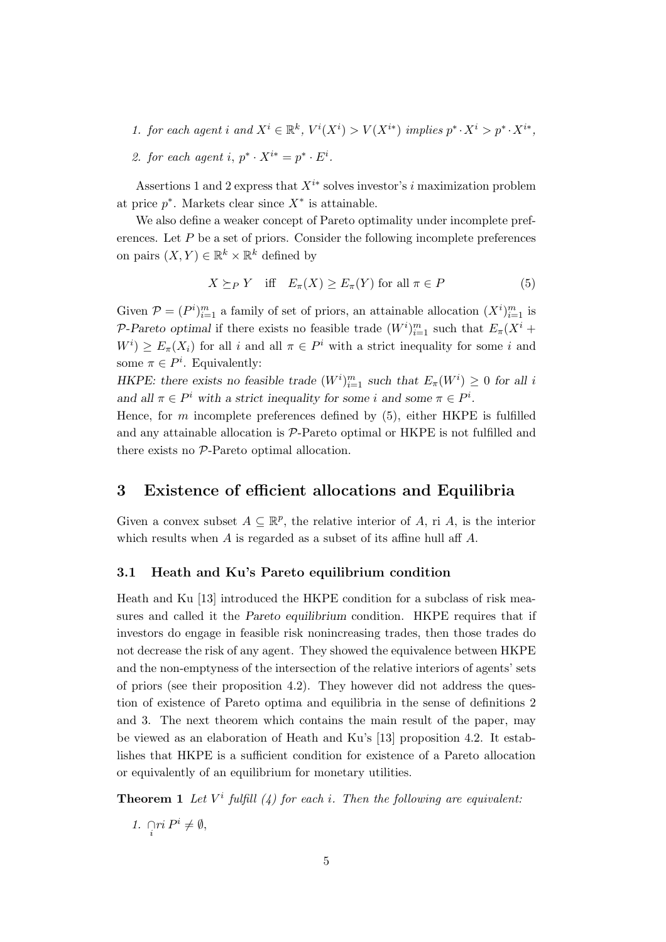- 1. for each agent i and  $X^i \in \mathbb{R}^k$ ,  $V^i(X^i) > V(X^{i*})$  implies  $p^* \cdot X^i > p^* \cdot X^{i*}$ ,
- 2. for each agent i,  $p^* \cdot X^{i*} = p^* \cdot E^i$ .

Assertions 1 and 2 express that  $X^{i*}$  solves investor's i maximization problem at price  $p^*$ . Markets clear since  $X^*$  is attainable.

We also define a weaker concept of Pareto optimality under incomplete preferences. Let  $P$  be a set of priors. Consider the following incomplete preferences on pairs  $(X, Y) \in \mathbb{R}^k \times \mathbb{R}^k$  defined by

$$
X \succeq_{P} Y \quad \text{iff} \quad E_{\pi}(X) \ge E_{\pi}(Y) \text{ for all } \pi \in P \tag{5}
$$

Given  $P = (P^i)_{i=1}^m$  a family of set of priors, an attainable allocation  $(X^i)_{i=1}^m$  is P-Pareto optimal if there exists no feasible trade  $(W^i)_{i=1}^m$  such that  $E_\pi(X^i +$  $W^i$   $\geq E_{\pi}(X_i)$  for all i and all  $\pi \in P^i$  with a strict inequality for some i and some  $\pi \in P^i$ . Equivalently:

*HKPE: there exists no feasible trade*  $(W^i)_{i=1}^m$  *such that*  $E_\pi(W^i) \geq 0$  *for all i* and all  $\pi \in P^i$  with a strict inequality for some i and some  $\pi \in P^i$ .

Hence, for m incomplete preferences defined by  $(5)$ , either HKPE is fulfilled and any attainable allocation is P-Pareto optimal or HKPE is not fulfilled and there exists no P-Pareto optimal allocation.

## 3 Existence of efficient allocations and Equilibria

Given a convex subset  $A \subseteq \mathbb{R}^p$ , the relative interior of A, ri A, is the interior which results when A is regarded as a subset of its affine hull aff A.

## 3.1 Heath and Ku's Pareto equilibrium condition

Heath and Ku [13] introduced the HKPE condition for a subclass of risk measures and called it the *Pareto equilibrium* condition. HKPE requires that if investors do engage in feasible risk nonincreasing trades, then those trades do not decrease the risk of any agent. They showed the equivalence between HKPE and the non-emptyness of the intersection of the relative interiors of agents' sets of priors (see their proposition 4.2). They however did not address the question of existence of Pareto optima and equilibria in the sense of definitions 2 and 3. The next theorem which contains the main result of the paper, may be viewed as an elaboration of Heath and Ku's [13] proposition 4.2. It establishes that HKPE is a sufficient condition for existence of a Pareto allocation or equivalently of an equilibrium for monetary utilities.

**Theorem 1** Let  $V^i$  fulfill (4) for each i. Then the following are equivalent:

1.  $\bigcap_{i} ri P^i \neq \emptyset$ ,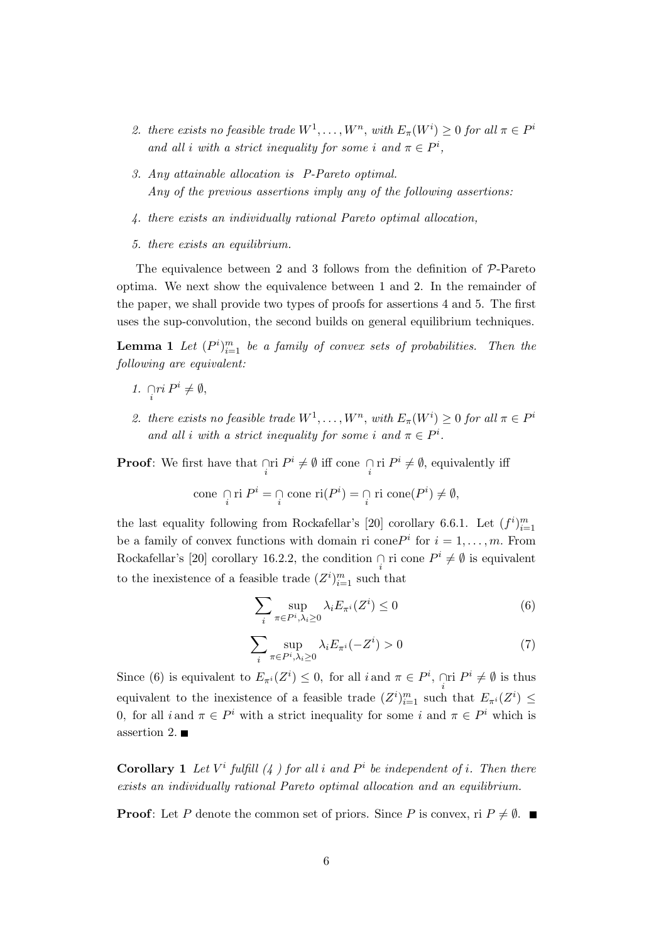- 2. there exists no feasible trade  $W^1, \ldots, W^n$ , with  $E_\pi(W^i) \geq 0$  for all  $\pi \in P^i$ and all i with a strict inequality for some i and  $\pi \in P^i$ ,
- 3. Any attainable allocation is P-Pareto optimal. Any of the previous assertions imply any of the following assertions:
- 4. there exists an individually rational Pareto optimal allocation,
- 5. there exists an equilibrium.

The equivalence between 2 and 3 follows from the definition of  $\mathcal{P}$ -Pareto optima. We next show the equivalence between 1 and 2. In the remainder of the paper, we shall provide two types of proofs for assertions 4 and 5. The first uses the sup-convolution, the second builds on general equilibrium techniques.

**Lemma 1** Let  $(P^i)_{i=1}^m$  be a family of convex sets of probabilities. Then the following are equivalent:

- 1.  $\bigcap_{i} ri P^i \neq \emptyset$ ,
- 2. there exists no feasible trade  $W^1, \ldots, W^n$ , with  $E_\pi(W^i) \geq 0$  for all  $\pi \in P^i$ and all i with a strict inequality for some i and  $\pi \in P^i$ .

**Proof**: We first have that  $\bigcap_{i} \text{r}$  if  $P^{i} \neq \emptyset$  iff cone  $\bigcap_{i} \text{r}$  i  $P^{i} \neq \emptyset$ , equivalently iff

cone 
$$
\bigcap_i \text{ri } P^i = \bigcap_i \text{cone } \text{ri}(P^i) = \bigcap_i \text{ri cone}(P^i) \neq \emptyset,
$$

the last equality following from Rockafellar's [20] corollary 6.6.1. Let  $(f^i)_{i=1}^m$ be a family of convex functions with domain ri cone  $P^i$  for  $i = 1, \ldots, m$ . From Rockafellar's [20] corollary 16.2.2, the condition  $\bigcap_i$  ri cone  $P^i \neq \emptyset$  is equivalent to the inexistence of a feasible trade  $(Z^i)_{i=1}^m$  such that

$$
\sum_{i} \sup_{\pi \in P^i, \lambda_i \ge 0} \lambda_i E_{\pi^i}(Z^i) \le 0
$$
 (6)

$$
\sum_{i} \sup_{\pi \in P^i, \lambda_i \ge 0} \lambda_i E_{\pi^i}(-Z^i) > 0 \tag{7}
$$

Since (6) is equivalent to  $E_{\pi^i}(Z^i) \leq 0$ , for all  $i$  and  $\pi \in P^i$ ,  $\bigcap_{i} \Pi^i \neq \emptyset$  is thus equivalent to the inexistence of a feasible trade  $(Z^i)_{i=1}^m$  such that  $E_{\pi^i}(Z^i) \leq$ 0, for all i and  $\pi \in P^i$  with a strict inequality for some i and  $\pi \in P^i$  which is assertion 2.

**Corollary 1** Let  $V^i$  fulfill  $(4)$  for all i and  $P^i$  be independent of i. Then there exists an individually rational Pareto optimal allocation and an equilibrium.

**Proof:** Let P denote the common set of priors. Since P is convex, ri  $P \neq \emptyset$ .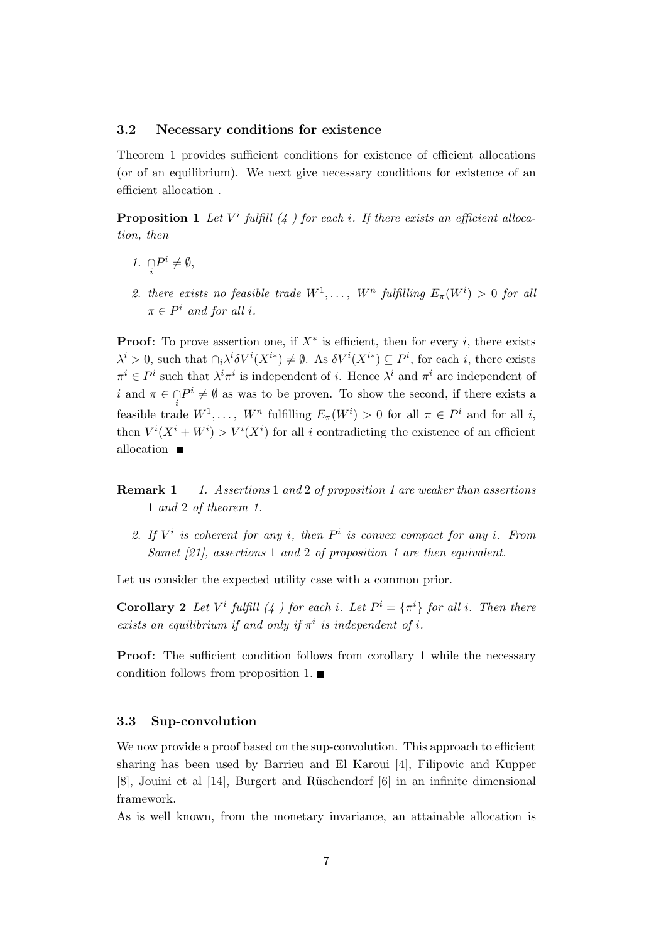#### 3.2 Necessary conditions for existence

Theorem 1 provides sufficient conditions for existence of efficient allocations (or of an equilibrium). We next give necessary conditions for existence of an efficient allocation .

**Proposition 1** Let  $V^i$  fulfill  $(4)$  for each i. If there exists an efficient allocation, then

- 1.  $\bigcap_i P^i \neq \emptyset$ ,
- 2. there exists no feasible trade  $W^1, \ldots, W^n$  fulfilling  $E_\pi(W^i) > 0$  for all  $\pi \in P^i$  and for all i.

**Proof:** To prove assertion one, if  $X^*$  is efficient, then for every i, there exists  $\lambda^i > 0$ , such that  $\cap_i \lambda^i \delta V^i(X^{i*}) \neq \emptyset$ . As  $\delta V^i(X^{i*}) \subseteq P^i$ , for each i, there exists  $\pi^i \in P^i$  such that  $\lambda^i \pi^i$  is independent of *i*. Hence  $\lambda^i$  and  $\pi^i$  are independent of i and  $\pi \in \bigcap_i P^i \neq \emptyset$  as was to be proven. To show the second, if there exists a feasible trade  $W^1, \ldots, W^n$  fulfilling  $E_\pi(W^i) > 0$  for all  $\pi \in P^i$  and for all i, then  $V^{i}(X^{i} + W^{i}) > V^{i}(X^{i})$  for all i contradicting the existence of an efficient allocation  $\blacksquare$ 

- **Remark 1** 1. Assertions 1 and 2 of proposition 1 are weaker than assertions 1 and 2 of theorem 1.
	- 2. If  $V^i$  is coherent for any i, then  $P^i$  is convex compact for any i. From Samet [21], assertions 1 and 2 of proposition 1 are then equivalent.

Let us consider the expected utility case with a common prior.

**Corollary 2** Let  $V^i$  fulfill  $(4)$  for each i. Let  $P^i = {\pi^i}$  for all i. Then there exists an equilibrium if and only if  $\pi^i$  is independent of i.

Proof: The sufficient condition follows from corollary 1 while the necessary condition follows from proposition 1.  $\blacksquare$ 

#### 3.3 Sup-convolution

We now provide a proof based on the sup-convolution. This approach to efficient sharing has been used by Barrieu and El Karoui [4], Filipovic and Kupper [8], Jouini et al [14], Burgert and Rüschendorf [6] in an infinite dimensional framework.

As is well known, from the monetary invariance, an attainable allocation is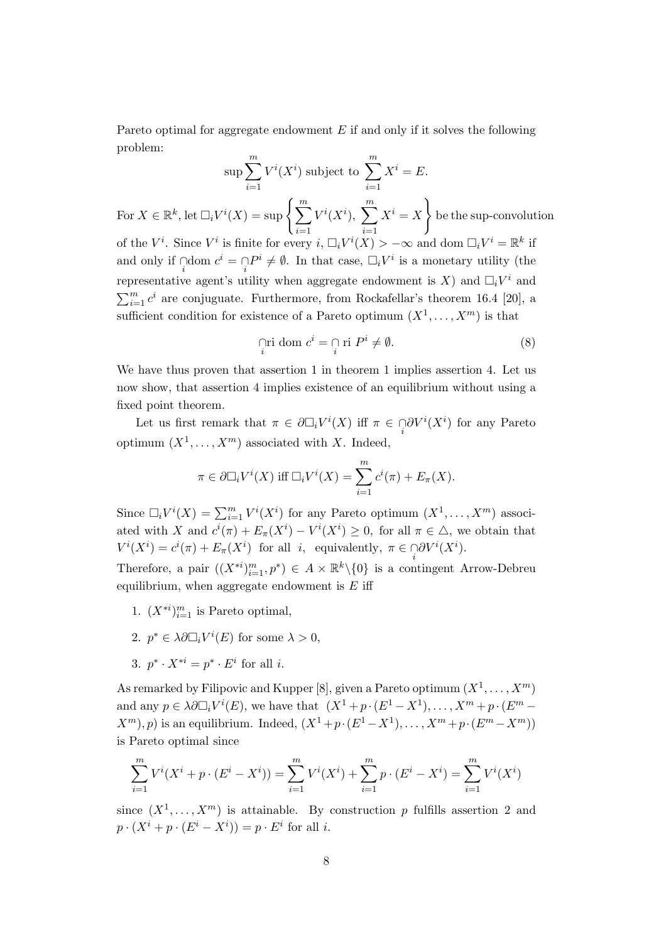Pareto optimal for aggregate endowment  $E$  if and only if it solves the following problem:

$$
\sup \sum_{i=1}^{m} V^i(X^i) \text{ subject to } \sum_{i=1}^{m} X^i = E.
$$

For  $X \in \mathbb{R}^k$ , let  $\Box_i V^i(X) = \sup \left\{ \sum_{i=1}^m X_i \right\}$  $i=1$  $V^i(X^i)$ ,  $\sum^m$  $i=1$  $X^i=X$  $\mathcal{L}$ be the sup-convolution of the  $V^i$ . Since  $V^i$  is finite for every  $i, \Box_i V^i(X) > -\infty$  and dom  $\Box_i V^i = \mathbb{R}^k$  if and only if  $\bigcap_i \text{dom } c^i = \bigcap_i P^i \neq \emptyset$ . In that case,  $\Box_i V^i$  is a monetary utility (the representative agent's utility when aggregate endowment is X) and  $\Box_i V^i$  and  $\sum_{i=1}^{m} c^i$  are conjuguate. Furthermore, from Rockafellar's theorem 16.4 [20], a

sufficient condition for existence of a Pareto optimum  $(X^1, \ldots, X^m)$  is that

$$
\lim_{i} \text{ dom } c^{i} = \bigcap_{i} \text{ri } P^{i} \neq \emptyset. \tag{8}
$$

We have thus proven that assertion 1 in theorem 1 implies assertion 4. Let us now show, that assertion 4 implies existence of an equilibrium without using a fixed point theorem.

Let us first remark that  $\pi \in \partial \Box_i V^i(X)$  iff  $\pi \in \bigcap_i \partial V^i(X^i)$  for any Pareto optimum  $(X^1, \ldots, X^m)$  associated with X. Indeed,

$$
\pi \in \partial \Box_i V^i(X) \text{ iff } \Box_i V^i(X) = \sum_{i=1}^m c^i(\pi) + E_{\pi}(X).
$$

Since  $\Box_i V^i(X) = \sum_{i=1}^m V^i(X^i)$  for any Pareto optimum  $(X^1, \ldots, X^m)$  associated with X and  $c^{i}(\pi) + E_{\pi}(X^{i}) - V^{i}(X^{i}) \geq 0$ , for all  $\pi \in \Delta$ , we obtain that  $V^i(X^i) = c^i(\pi) + E_{\pi}(X^i)$  for all *i*, equivalently,  $\pi \in \bigcap_i \partial V^i(X^i)$ .

Therefore, a pair  $((X^{*i})_{i=1}^m, p^*) \in A \times \mathbb{R}^k \setminus \{0\}$  is a contingent Arrow-Debreu equilibrium, when aggregate endowment is  $E$  iff

- 1.  $(X^{*i})_{i=1}^m$  is Pareto optimal,
- 2.  $p^* \in \lambda \partial \Box_i V^i(E)$  for some  $\lambda > 0$ ,
- 3.  $p^* \cdot X^{*i} = p^* \cdot E^i$  for all *i*.

As remarked by Filipovic and Kupper [8], given a Pareto optimum  $(X^1, \ldots, X^m)$ and any  $p \in \lambda \partial \Box_i V^i(E)$ , we have that  $(X^1 + p \cdot (E^1 - X^1), \dots, X^m + p \cdot (E^m (X^m), p$  is an equilibrium. Indeed,  $(X^1 + p \cdot (E^1 - X^1), \ldots, X^m + p \cdot (E^m - X^m))$ is Pareto optimal since

$$
\sum_{i=1}^{m} V^{i}(X^{i} + p \cdot (E^{i} - X^{i})) = \sum_{i=1}^{m} V^{i}(X^{i}) + \sum_{i=1}^{m} p \cdot (E^{i} - X^{i}) = \sum_{i=1}^{m} V^{i}(X^{i})
$$

since  $(X^1, \ldots, X^m)$  is attainable. By construction p fulfills assertion 2 and  $p \cdot (X^i + p \cdot (E^i - X^i)) = p \cdot E^i$  for all *i*.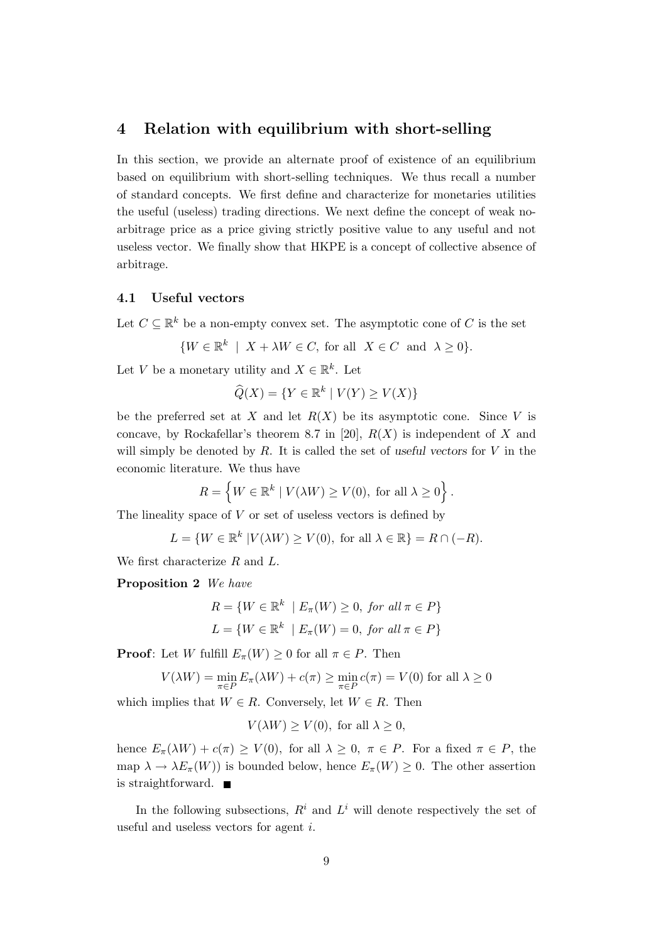## 4 Relation with equilibrium with short-selling

In this section, we provide an alternate proof of existence of an equilibrium based on equilibrium with short-selling techniques. We thus recall a number of standard concepts. We first define and characterize for monetaries utilities the useful (useless) trading directions. We next define the concept of weak noarbitrage price as a price giving strictly positive value to any useful and not useless vector. We finally show that HKPE is a concept of collective absence of arbitrage.

#### 4.1 Useful vectors

Let  $C \subseteq \mathbb{R}^k$  be a non-empty convex set. The asymptotic cone of C is the set

$$
\{W \in \mathbb{R}^k \mid X + \lambda W \in C, \text{ for all } X \in C \text{ and } \lambda \ge 0\}.
$$

Let V be a monetary utility and  $X \in \mathbb{R}^k$ . Let

$$
\widehat{Q}(X) = \{ Y \in \mathbb{R}^k \mid V(Y) \ge V(X) \}
$$

be the preferred set at X and let  $R(X)$  be its asymptotic cone. Since V is concave, by Rockafellar's theorem 8.7 in [20],  $R(X)$  is independent of X and will simply be denoted by R. It is called the set of *useful vectors* for V in the economic literature. We thus have

$$
R = \left\{ W \in \mathbb{R}^k \mid V(\lambda W) \ge V(0), \text{ for all } \lambda \ge 0 \right\}.
$$

The lineality space of  $V$  or set of useless vectors is defined by

$$
L = \{ W \in \mathbb{R}^k \mid V(\lambda W) \ge V(0), \text{ for all } \lambda \in \mathbb{R} \} = R \cap (-R).
$$

We first characterize R and L.

Proposition 2 We have

$$
R = \{ W \in \mathbb{R}^k \mid E_{\pi}(W) \ge 0, \text{ for all } \pi \in P \}
$$

$$
L = \{ W \in \mathbb{R}^k \mid E_{\pi}(W) = 0, \text{ for all } \pi \in P \}
$$

**Proof:** Let W fulfill  $E_{\pi}(W) \ge 0$  for all  $\pi \in P$ . Then

$$
V(\lambda W) = \min_{\pi \in P} E_{\pi}(\lambda W) + c(\pi) \ge \min_{\pi \in P} c(\pi) = V(0)
$$
 for all  $\lambda \ge 0$ 

which implies that  $W \in R$ . Conversely, let  $W \in R$ . Then

$$
V(\lambda W) \ge V(0)
$$
, for all  $\lambda \ge 0$ ,

hence  $E_{\pi}(\lambda W) + c(\pi) \ge V(0)$ , for all  $\lambda \ge 0$ ,  $\pi \in P$ . For a fixed  $\pi \in P$ , the map  $\lambda \to \lambda E_{\pi}(W)$  is bounded below, hence  $E_{\pi}(W) \geq 0$ . The other assertion is straightforward.

In the following subsections,  $R^i$  and  $L^i$  will denote respectively the set of useful and useless vectors for agent i.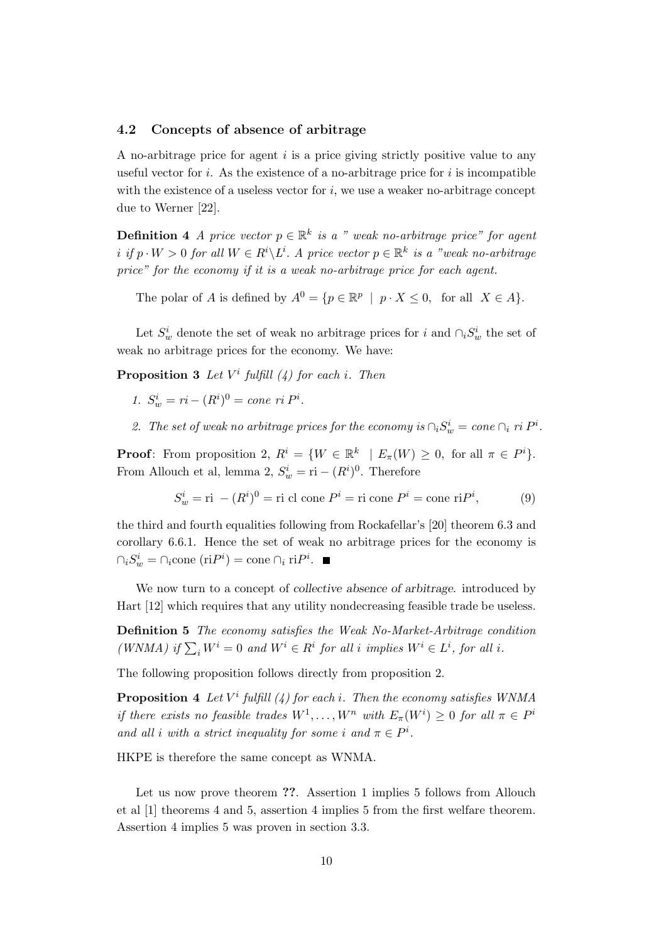#### 4.2 Concepts of absence of arbitrage

A no-arbitrage price for agent  $i$  is a price giving strictly positive value to any useful vector for i. As the existence of a no-arbitrage price for i is incompatible with the existence of a useless vector for  $i$ , we use a weaker no-arbitrage concept due to Werner [22].

**Definition 4** A price vector  $p \in \mathbb{R}^k$  is a " weak no-arbitrage price" for agent i if  $p \cdot W > 0$  for all  $W \in R^i \backslash L^i$ . A price vector  $p \in \mathbb{R}^k$  is a "weak no-arbitrage price" for the economy if it is a weak no-arbitrage price for each agent.

The polar of A is defined by  $A^0 = \{p \in \mathbb{R}^p \mid p \cdot X \leq 0, \text{ for all } X \in A\}.$ 

Let  $S_w^i$  denote the set of weak no arbitrage prices for i and  $\cap_i S_w^i$  the set of weak no arbitrage prices for the economy. We have:

**Proposition 3** Let  $V^i$  fulfill (4) for each i. Then

- 1.  $S_w^i = ri (R^i)^0 = cone \; ri \; P^i.$
- 2. The set of weak no arbitrage prices for the economy is  $\bigcap_i S_w^i = \text{cone } \bigcap_i r^i P^i$ .

**Proof:** From proposition 2,  $R^i = \{W \in \mathbb{R}^k \mid E_{\pi}(W) \geq 0$ , for all  $\pi \in P^i$ . From Allouch et al, lemma 2,  $S_w^i = \text{ri} - (R^i)^0$ . Therefore

$$
S_w^i = \text{ri} - (R^i)^0 = \text{ri cl cone } P^i = \text{ri cone } P^i = \text{cone ri } P^i,
$$
 (9)

the third and fourth equalities following from Rockafellar's [20] theorem 6.3 and corollary 6.6.1. Hence the set of weak no arbitrage prices for the economy is  $\bigcap_i S_w^i = \bigcap_i \text{cone}(\text{ri}P^i) = \text{cone} \bigcap_i \text{ri}P^i.$ 

We now turn to a concept of *collective absence of arbitrage*. introduced by Hart [12] which requires that any utility nondecreasing feasible trade be useless.

Definition 5 The economy satisfies the Weak No-Market-Arbitrage condition (WNMA) if  $\sum_i W^i = 0$  and  $W^i \in R^i$  for all i implies  $W^i \in L^i$ , for all i.

The following proposition follows directly from proposition 2.

**Proposition 4** Let  $V^i$  fulfill (4) for each i. Then the economy satisfies WNMA if there exists no feasible trades  $W^1, \ldots, W^n$  with  $E_\pi(W^i) \geq 0$  for all  $\pi \in P^i$ and all i with a strict inequality for some i and  $\pi \in P^i$ .

HKPE is therefore the same concept as WNMA.

Let us now prove theorem ??. Assertion 1 implies 5 follows from Allouch et al [1] theorems 4 and 5, assertion 4 implies 5 from the first welfare theorem. Assertion 4 implies 5 was proven in section 3.3.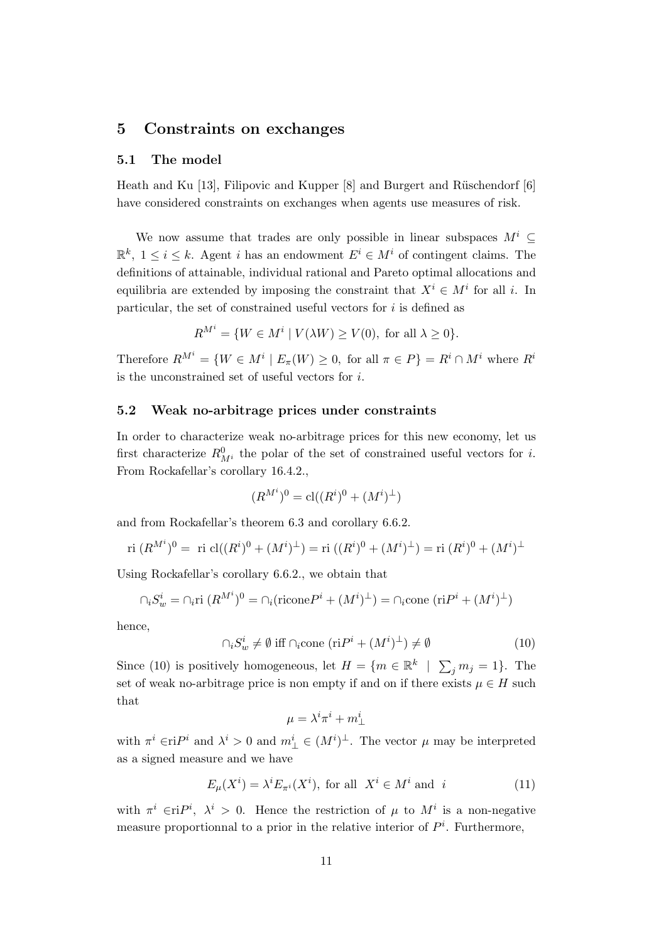# 5 Constraints on exchanges

#### 5.1 The model

Heath and Ku [13], Filipovic and Kupper  $[8]$  and Burgert and Rüschendorf  $[6]$ have considered constraints on exchanges when agents use measures of risk.

We now assume that trades are only possible in linear subspaces  $M^i$  $\mathbb{R}^k$ ,  $1 \leq i \leq k$ . Agent *i* has an endowment  $E^i \in M^i$  of contingent claims. The definitions of attainable, individual rational and Pareto optimal allocations and equilibria are extended by imposing the constraint that  $X^i \in M^i$  for all i. In particular, the set of constrained useful vectors for  $i$  is defined as

$$
R^{M^i} = \{ W \in M^i \mid V(\lambda W) \ge V(0), \text{ for all } \lambda \ge 0 \}.
$$

Therefore  $R^{M^i} = \{W \in M^i \mid E_\pi(W) \geq 0$ , for all  $\pi \in P\} = R^i \cap M^i$  where  $R^i$ is the unconstrained set of useful vectors for i.

#### 5.2 Weak no-arbitrage prices under constraints

In order to characterize weak no-arbitrage prices for this new economy, let us first characterize  $R_{M}^0$  the polar of the set of constrained useful vectors for *i*. From Rockafellar's corollary 16.4.2.,

$$
(R^{M^i})^0 = \text{cl}((R^i)^0 + (M^i)^{\perp})
$$

and from Rockafellar's theorem 6.3 and corollary 6.6.2.

ri 
$$
(R^{M^i})^0
$$
 = ri  $cl((R^i)^0 + (M^i)^{\perp})$  = ri  $((R^i)^0 + (M^i)^{\perp})$  = ri  $(R^i)^0 + (M^i)^{\perp}$ 

Using Rockafellar's corollary 6.6.2., we obtain that

$$
\bigcap_i S_w^i = \bigcap_i \text{ri } (R^{M^i})^0 = \bigcap_i (\text{ricone } P^i + (M^i)^{\perp}) = \bigcap_i \text{cone } (\text{ri} P^i + (M^i)^{\perp})
$$

hence,

$$
\cap_i S_w^i \neq \emptyset \text{ iff } \cap_i \text{cone } (\text{ri}P^i + (M^i)^{\perp}) \neq \emptyset \tag{10}
$$

Since (10) is positively homogeneous, let  $H = \{m \in \mathbb{R}^k \mid \sum_j m_j = 1\}$ . The set of weak no-arbitrage price is non empty if and on if there exists  $\mu \in H$  such that

$$
\mu=\lambda^i\pi^i+m^i_\perp
$$

with  $\pi^i \in \mathbf{r}$  and  $\lambda^i > 0$  and  $m^i_{\perp} \in (M^i)^{\perp}$ . The vector  $\mu$  may be interpreted as a signed measure and we have

$$
E_{\mu}(X^{i}) = \lambda^{i} E_{\pi^{i}}(X^{i}), \text{ for all } X^{i} \in M^{i} \text{ and } i
$$
 (11)

with  $\pi^i \in \text{ri}P^i$ ,  $\lambda^i > 0$ . Hence the restriction of  $\mu$  to  $M^i$  is a non-negative measure proportionnal to a prior in the relative interior of  $P<sup>i</sup>$ . Furthermore,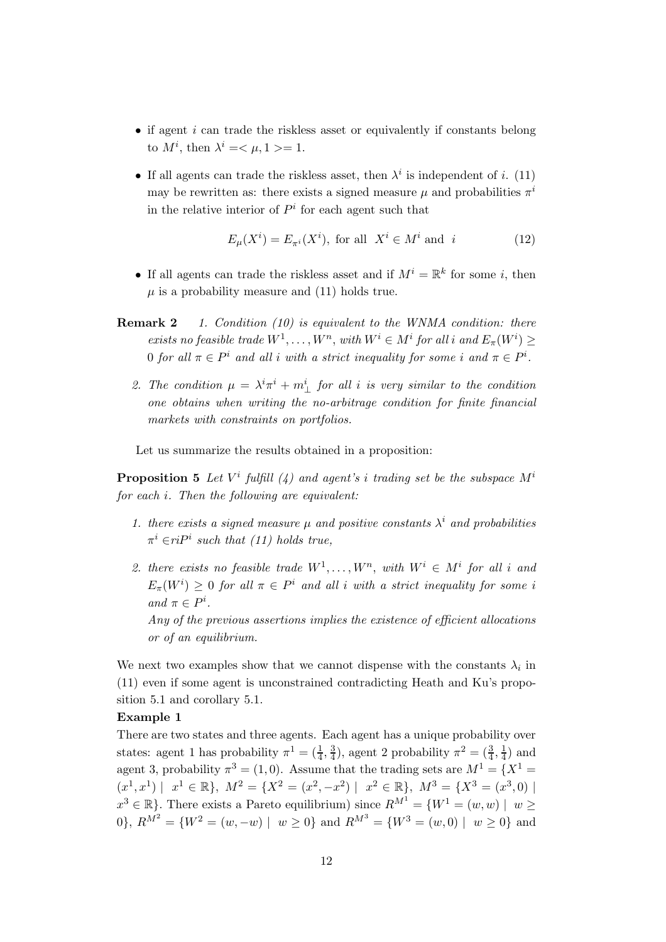- $\bullet$  if agent *i* can trade the riskless asset or equivalently if constants belong to  $M^i$ , then  $\lambda^i = \langle \mu, 1 \rangle = 1$ .
- If all agents can trade the riskless asset, then  $\lambda^i$  is independent of i. (11) may be rewritten as: there exists a signed measure  $\mu$  and probabilities  $\pi^{i}$ in the relative interior of  $P<sup>i</sup>$  for each agent such that

$$
E_{\mu}(X^{i}) = E_{\pi^{i}}(X^{i}), \text{ for all } X^{i} \in M^{i} \text{ and } i
$$
 (12)

- If all agents can trade the riskless asset and if  $M^i = \mathbb{R}^k$  for some *i*, then  $\mu$  is a probability measure and (11) holds true.
- **Remark 2** 1. Condition (10) is equivalent to the WNMA condition: there exists no feasible trade  $W^1, \ldots, W^n$ , with  $W^i \in M^i$  for all i and  $E_\pi(W^i) \geq$ 0 for all  $\pi \in P^i$  and all i with a strict inequality for some i and  $\pi \in P^i$ .
	- 2. The condition  $\mu = \lambda^i \pi^i + m^i_{\perp}$  for all i is very similar to the condition one obtains when writing the no-arbitrage condition for finite financial markets with constraints on portfolios.

Let us summarize the results obtained in a proposition:

**Proposition 5** Let  $V^i$  fulfill (4) and agent's i trading set be the subspace  $M^i$ for each i. Then the following are equivalent:

- 1. there exists a signed measure  $\mu$  and positive constants  $\lambda^i$  and probabilities  $\pi^i \in riP^i$  such that (11) holds true,
- 2. there exists no feasible trade  $W^1, \ldots, W^n$ , with  $W^i \in M^i$  for all i and  $E_{\pi}(W^{i}) \geq 0$  for all  $\pi \in P^{i}$  and all i with a strict inequality for some i and  $\pi \in P^i$ . Any of the previous assertions implies the existence of efficient allocations

or of an equilibrium.

We next two examples show that we cannot dispense with the constants  $\lambda_i$  in (11) even if some agent is unconstrained contradicting Heath and Ku's proposition 5.1 and corollary 5.1.

### Example 1

There are two states and three agents. Each agent has a unique probability over states: agent 1 has probability  $\pi^1 = (\frac{1}{4}, \frac{3}{4})$  $(\frac{3}{4}), \text{ agent } 2 \text{ probability } \pi^2 = (\frac{3}{4}, \frac{1}{4})$  $\frac{1}{4}$ ) and agent 3, probability  $\pi^3 = (1, 0)$ . Assume that the trading sets are  $M^1 = \{X^1 =$  $(x^1, x^1) \mid x^1 \in \mathbb{R}$ ,  $M^2 = \{X^2 = (x^2, -x^2) \mid x^2 \in \mathbb{R} \}$ ,  $M^3 = \{X^3 = (x^3, 0) \mid X^2 = (x^2, -x^2) \mid x^2 \in \mathbb{R} \}$  $x^3 \in \mathbb{R}$ . There exists a Pareto equilibrium) since  $R^{M^1} = \{W^1 = (w, w) \mid w \geq 0\}$ 0,  $R^{M^2} = \{W^2 = (w, -w) \mid w \ge 0\}$  and  $R^{M^3} = \{W^3 = (w, 0) \mid w \ge 0\}$  and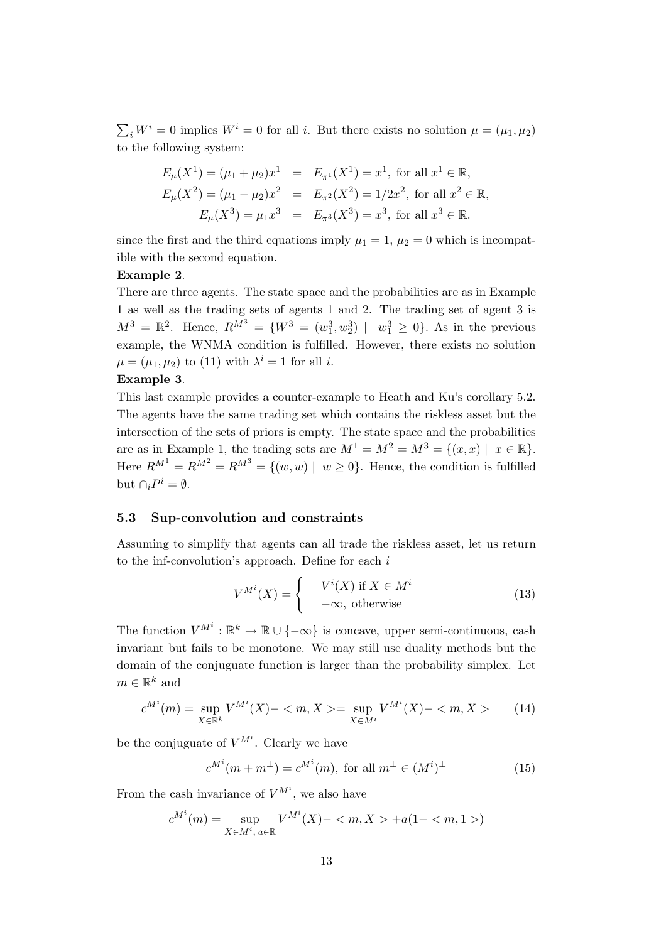$\sum_i W^i = 0$  implies  $W^i = 0$  for all i. But there exists no solution  $\mu = (\mu_1, \mu_2)$ to the following system:

$$
E_{\mu}(X^{1}) = (\mu_{1} + \mu_{2})x^{1} = E_{\pi^{1}}(X^{1}) = x^{1}, \text{ for all } x^{1} \in \mathbb{R},
$$
  
\n
$$
E_{\mu}(X^{2}) = (\mu_{1} - \mu_{2})x^{2} = E_{\pi^{2}}(X^{2}) = 1/2x^{2}, \text{ for all } x^{2} \in \mathbb{R},
$$
  
\n
$$
E_{\mu}(X^{3}) = \mu_{1}x^{3} = E_{\pi^{3}}(X^{3}) = x^{3}, \text{ for all } x^{3} \in \mathbb{R}.
$$

since the first and the third equations imply  $\mu_1 = 1$ ,  $\mu_2 = 0$  which is incompatible with the second equation.

#### Example 2.

There are three agents. The state space and the probabilities are as in Example 1 as well as the trading sets of agents 1 and 2. The trading set of agent 3 is  $M^{3} = \mathbb{R}^{2}$ . Hence,  $R^{M^{3}} = \{W^{3} = (w_{1}^{3}, w_{2}^{3}) | w_{1}^{3} \ge 0\}$ . As in the previous example, the WNMA condition is fulfilled. However, there exists no solution  $\mu = (\mu_1, \mu_2)$  to (11) with  $\lambda^i = 1$  for all *i*.

#### Example 3.

This last example provides a counter-example to Heath and Ku's corollary 5.2. The agents have the same trading set which contains the riskless asset but the intersection of the sets of priors is empty. The state space and the probabilities are as in Example 1, the trading sets are  $M^1 = M^2 = M^3 = \{(x, x) \mid x \in \mathbb{R}\}.$ Here  $R^{M^1} = R^{M^2} = R^{M^3} = \{(w, w) \mid w \ge 0\}$ . Hence, the condition is fulfilled but  $\cap_i P^i = \emptyset$ .

#### 5.3 Sup-convolution and constraints

Assuming to simplify that agents can all trade the riskless asset, let us return to the inf-convolution's approach. Define for each  $i$ 

$$
V^{M^i}(X) = \begin{cases} V^i(X) & \text{if } X \in M^i \\ -\infty, & \text{otherwise} \end{cases}
$$
 (13)

The function  $V^{M^i}: \mathbb{R}^k \to \mathbb{R} \cup \{-\infty\}$  is concave, upper semi-continuous, cash invariant but fails to be monotone. We may still use duality methods but the domain of the conjuguate function is larger than the probability simplex. Let  $m \in \mathbb{R}^k$  and

$$
c^{M^i}(m) = \sup_{X \in \mathbb{R}^k} V^{M^i}(X) -  = \sup_{X \in M^i} V^{M^i}(X) -  \tag{14}
$$

be the conjuguate of  $V^{M^i}$ . Clearly we have

$$
c^{M^i}(m+m^\perp) = c^{M^i}(m), \text{ for all } m^\perp \in (M^i)^\perp \tag{15}
$$

From the cash invariance of  $V^{M^i}$ , we also have

$$
c^{M^i}(m) = \sup_{X \in M^i, a \in \mathbb{R}} V^{M^i}(X) - \langle m, X \rangle + a(1 - \langle m, 1 \rangle)
$$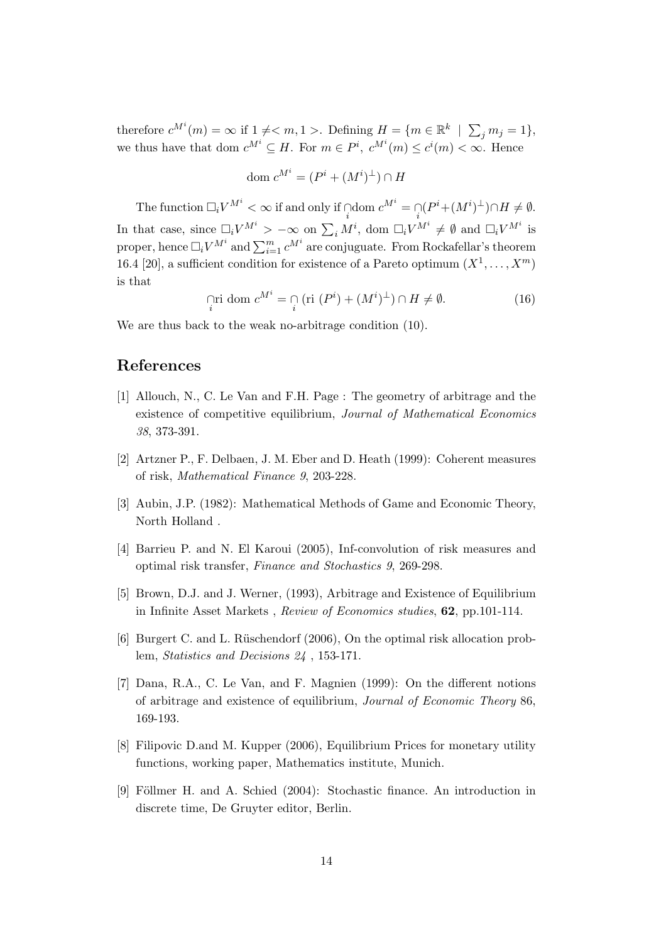therefore  $c^{M^i}(m) = \infty$  if  $1 \neq m, 1 >$ . Defining  $H = \{m \in \mathbb{R}^k \mid \sum_j m_j = 1\},\$ we thus have that dom  $c^{M^i} \subseteq H$ . For  $m \in P^i$ ,  $c^{M^i}(m) \leq c^i(m) < \infty$ . Hence

$$
\text{dom } c^{M^i} = (P^i + (M^i)^{\perp}) \cap H
$$

The function  $\Box_i V^{M^i} < \infty$  if and only if  $\bigcap_i$  dom  $c^{M^i} = \bigcap_i (P^i + (M^i)^{\perp}) \cap H \neq \emptyset$ . In that case, since  $\Box_i V^{M^i} > -\infty$  on  $\sum_i M^i$ , dom  $\Box_i V^{M^i} \neq \emptyset$  and  $\Box_i V^{M^i}$  is proper, hence  $\Box_i V^{M^i}$  and  $\sum_{i=1}^m c^{M^i}$  are conjuguate. From Rockafellar's theorem 16.4 [20], a sufficient condition for existence of a Pareto optimum  $(X^1, \ldots, X^m)$ is that

$$
\bigcap_{i} \text{ri dom } c^{M^{i}} = \bigcap_{i} \left( \text{ri } (P^{i}) + (M^{i})^{\perp} \right) \cap H \neq \emptyset. \tag{16}
$$

We are thus back to the weak no-arbitrage condition (10).

# References

- [1] Allouch, N., C. Le Van and F.H. Page : The geometry of arbitrage and the existence of competitive equilibrium, Journal of Mathematical Economics 38, 373-391.
- [2] Artzner P., F. Delbaen, J. M. Eber and D. Heath (1999): Coherent measures of risk, Mathematical Finance 9, 203-228.
- [3] Aubin, J.P. (1982): Mathematical Methods of Game and Economic Theory, North Holland .
- [4] Barrieu P. and N. El Karoui (2005), Inf-convolution of risk measures and optimal risk transfer, Finance and Stochastics 9, 269-298.
- [5] Brown, D.J. and J. Werner, (1993), Arbitrage and Existence of Equilibrium in Infinite Asset Markets , Review of Economics studies, 62, pp.101-114.
- [6] Burgert C. and L. R¨uschendorf (2006), On the optimal risk allocation problem, Statistics and Decisions 24 , 153-171.
- [7] Dana, R.A., C. Le Van, and F. Magnien (1999): On the different notions of arbitrage and existence of equilibrium, Journal of Economic Theory 86, 169-193.
- [8] Filipovic D.and M. Kupper (2006), Equilibrium Prices for monetary utility functions, working paper, Mathematics institute, Munich.
- [9] Föllmer H. and A. Schied (2004): Stochastic finance. An introduction in discrete time, De Gruyter editor, Berlin.